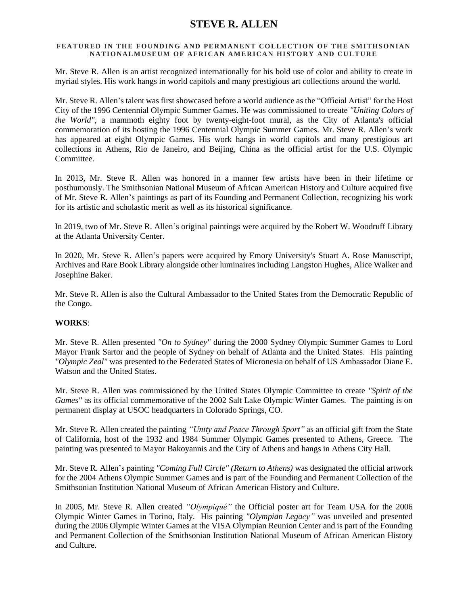# **STEVE R. ALLEN**

### FEATURED IN THE FOUNDING AND PERMANENT COLLECTION OF THE SMITHSONIAN **NATIONALMUSEUM OF AFRICAN AMERICAN HISTORY AND CULTURE**

Mr. Steve R. Allen is an artist recognized internationally for his bold use of color and ability to create in myriad styles. His work hangs in world capitols and many prestigious art collections around the world.

Mr. Steve R. Allen's talent was first showcased before a world audience as the "Official Artist" for the Host City of the 1996 Centennial Olympic Summer Games. He was commissioned to create *"Uniting Colors of the World",* a mammoth eighty foot by twenty-eight-foot mural, as the City of Atlanta's official commemoration of its hosting the 1996 Centennial Olympic Summer Games. Mr. Steve R. Allen's work has appeared at eight Olympic Games. His work hangs in world capitols and many prestigious art collections in Athens, Rio de Janeiro, and Beijing, China as the official artist for the U.S. Olympic Committee.

In 2013, Mr. Steve R. Allen was honored in a manner few artists have been in their lifetime or posthumously. The Smithsonian National Museum of African American History and Culture acquired five of Mr. Steve R. Allen's paintings as part of its Founding and Permanent Collection, recognizing his work for its artistic and scholastic merit as well as its historical significance.

In 2019, two of Mr. Steve R. Allen's original paintings were acquired by the Robert W. Woodruff Library at the Atlanta University Center.

In 2020, Mr. Steve R. Allen's papers were acquired by Emory University's Stuart A. Rose Manuscript, Archives and Rare Book Library alongside other luminaires including Langston Hughes, Alice Walker and Josephine Baker.

Mr. Steve R. Allen is also the Cultural Ambassador to the United States from the Democratic Republic of the Congo.

## **WORKS**:

Mr. Steve R. Allen presented *"On to Sydney"* during the 2000 Sydney Olympic Summer Games to Lord Mayor Frank Sartor and the people of Sydney on behalf of Atlanta and the United States. His painting *"Olympic Zeal"* was presented to the Federated States of Micronesia on behalf of US Ambassador Diane E. Watson and the United States.

Mr. Steve R. Allen was commissioned by the United States Olympic Committee to create *"Spirit of the Games"* as its official commemorative of the 2002 Salt Lake Olympic Winter Games. The painting is on permanent display at USOC headquarters in Colorado Springs, CO.

Mr. Steve R. Allen created the painting *"Unity and Peace Through Sport"* as an official gift from the State of California, host of the 1932 and 1984 Summer Olympic Games presented to Athens, Greece. The painting was presented to Mayor Bakoyannis and the City of Athens and hangs in Athens City Hall.

Mr. Steve R. Allen's painting *"Coming Full Circle" (Return to Athens)* was designated the official artwork for the 2004 Athens Olympic Summer Games and is part of the Founding and Permanent Collection of the Smithsonian Institution National Museum of African American History and Culture.

In 2005, Mr. Steve R. Allen created *"Olympiqué"* the Official poster art for Team USA for the 2006 Olympic Winter Games in Torino, Italy. His painting *"Olympian Legacy"* was unveiled and presented during the 2006 Olympic Winter Games at the VISA Olympian Reunion Center and is part of the Founding and Permanent Collection of the Smithsonian Institution National Museum of African American History and Culture.